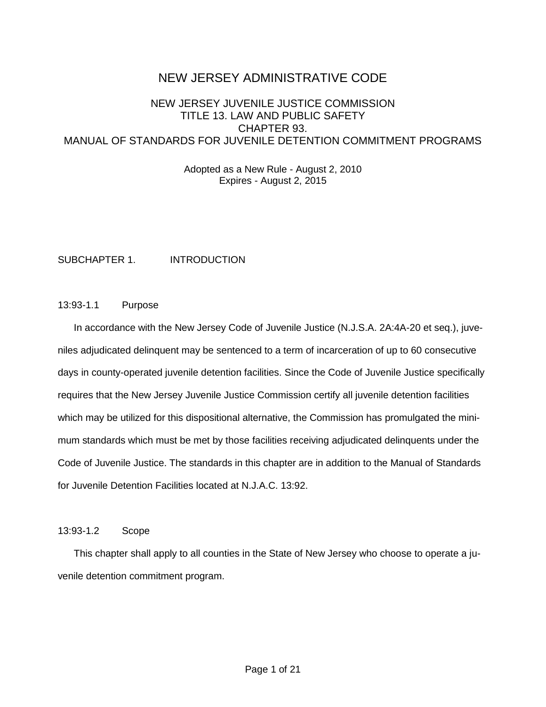# NEW JERSEY ADMINISTRATIVE CODE

# NEW JERSEY JUVENILE JUSTICE COMMISSION TITLE 13. LAW AND PUBLIC SAFETY CHAPTER 93. MANUAL OF STANDARDS FOR JUVENILE DETENTION COMMITMENT PROGRAMS

Adopted as a New Rule - August 2, 2010 Expires - August 2, 2015

SUBCHAPTER 1. INTRODUCTION

### 13:93-1.1 Purpose

In accordance with the New Jersey Code of Juvenile Justice (N.J.S.A. 2A:4A-20 et seq.), juveniles adjudicated delinquent may be sentenced to a term of incarceration of up to 60 consecutive days in county-operated juvenile detention facilities. Since the Code of Juvenile Justice specifically requires that the New Jersey Juvenile Justice Commission certify all juvenile detention facilities which may be utilized for this dispositional alternative, the Commission has promulgated the minimum standards which must be met by those facilities receiving adjudicated delinquents under the Code of Juvenile Justice. The standards in this chapter are in addition to the Manual of Standards for Juvenile Detention Facilities located at N.J.A.C. 13:92.

### 13:93-1.2 Scope

This chapter shall apply to all counties in the State of New Jersey who choose to operate a juvenile detention commitment program.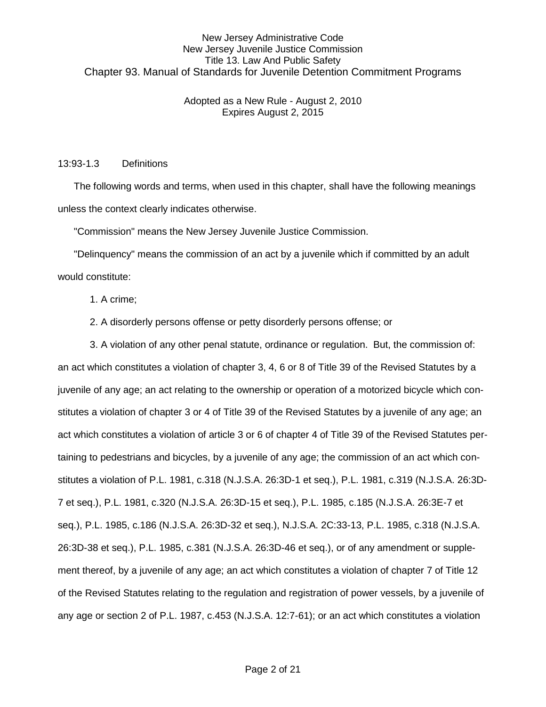### Adopted as a New Rule - August 2, 2010 Expires August 2, 2015

#### 13:93-1.3 Definitions

The following words and terms, when used in this chapter, shall have the following meanings unless the context clearly indicates otherwise.

"Commission" means the New Jersey Juvenile Justice Commission.

"Delinquency" means the commission of an act by a juvenile which if committed by an adult would constitute:

- 1. A crime;
- 2. A disorderly persons offense or petty disorderly persons offense; or

3. A violation of any other penal statute, ordinance or regulation. But, the commission of: an act which constitutes a violation of chapter 3, 4, 6 or 8 of Title 39 of the Revised Statutes by a juvenile of any age; an act relating to the ownership or operation of a motorized bicycle which constitutes a violation of chapter 3 or 4 of Title 39 of the Revised Statutes by a juvenile of any age; an act which constitutes a violation of article 3 or 6 of chapter 4 of Title 39 of the Revised Statutes pertaining to pedestrians and bicycles, by a juvenile of any age; the commission of an act which constitutes a violation of P.L. 1981, c.318 (N.J.S.A. 26:3D-1 et seq.), P.L. 1981, c.319 (N.J.S.A. 26:3D-7 et seq.), P.L. 1981, c.320 (N.J.S.A. 26:3D-15 et seq.), P.L. 1985, c.185 (N.J.S.A. 26:3E-7 et seq.), P.L. 1985, c.186 (N.J.S.A. 26:3D-32 et seq.), N.J.S.A. 2C:33-13, P.L. 1985, c.318 (N.J.S.A. 26:3D-38 et seq.), P.L. 1985, c.381 (N.J.S.A. 26:3D-46 et seq.), or of any amendment or supplement thereof, by a juvenile of any age; an act which constitutes a violation of chapter 7 of Title 12 of the Revised Statutes relating to the regulation and registration of power vessels, by a juvenile of any age or section 2 of P.L. 1987, c.453 (N.J.S.A. 12:7-61); or an act which constitutes a violation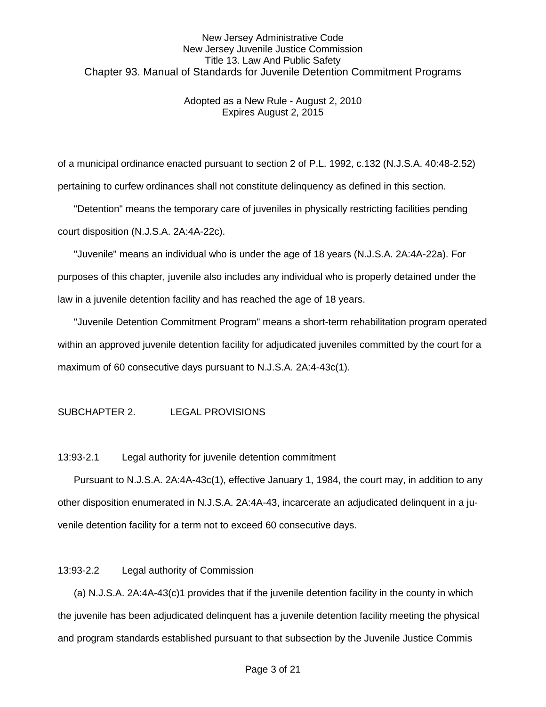### Adopted as a New Rule - August 2, 2010 Expires August 2, 2015

of a municipal ordinance enacted pursuant to section 2 of P.L. 1992, c.132 (N.J.S.A. 40:48-2.52) pertaining to curfew ordinances shall not constitute delinquency as defined in this section.

"Detention" means the temporary care of juveniles in physically restricting facilities pending court disposition (N.J.S.A. 2A:4A-22c).

"Juvenile" means an individual who is under the age of 18 years (N.J.S.A. 2A:4A-22a). For purposes of this chapter, juvenile also includes any individual who is properly detained under the law in a juvenile detention facility and has reached the age of 18 years.

"Juvenile Detention Commitment Program" means a short-term rehabilitation program operated within an approved juvenile detention facility for adjudicated juveniles committed by the court for a maximum of 60 consecutive days pursuant to N.J.S.A. 2A:4-43c(1).

### SUBCHAPTER 2. LEGAL PROVISIONS

13:93-2.1 Legal authority for juvenile detention commitment

Pursuant to N.J.S.A. 2A:4A-43c(1), effective January 1, 1984, the court may, in addition to any other disposition enumerated in N.J.S.A. 2A:4A-43, incarcerate an adjudicated delinquent in a juvenile detention facility for a term not to exceed 60 consecutive days.

#### 13:93-2.2 Legal authority of Commission

(a) N.J.S.A. 2A:4A-43(c)1 provides that if the juvenile detention facility in the county in which the juvenile has been adjudicated delinquent has a juvenile detention facility meeting the physical and program standards established pursuant to that subsection by the Juvenile Justice Commis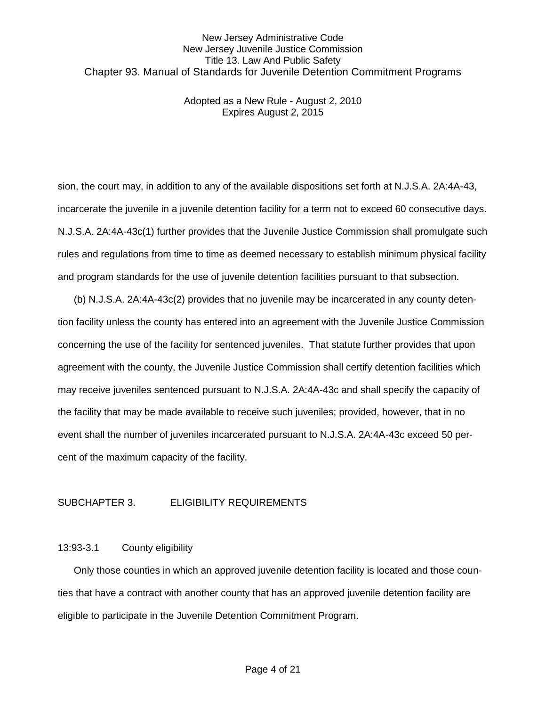Adopted as a New Rule - August 2, 2010 Expires August 2, 2015

sion, the court may, in addition to any of the available dispositions set forth at N.J.S.A. 2A:4A-43, incarcerate the juvenile in a juvenile detention facility for a term not to exceed 60 consecutive days. N.J.S.A. 2A:4A-43c(1) further provides that the Juvenile Justice Commission shall promulgate such rules and regulations from time to time as deemed necessary to establish minimum physical facility and program standards for the use of juvenile detention facilities pursuant to that subsection.

(b) N.J.S.A. 2A:4A-43c(2) provides that no juvenile may be incarcerated in any county detention facility unless the county has entered into an agreement with the Juvenile Justice Commission concerning the use of the facility for sentenced juveniles. That statute further provides that upon agreement with the county, the Juvenile Justice Commission shall certify detention facilities which may receive juveniles sentenced pursuant to N.J.S.A. 2A:4A-43c and shall specify the capacity of the facility that may be made available to receive such juveniles; provided, however, that in no event shall the number of juveniles incarcerated pursuant to N.J.S.A. 2A:4A-43c exceed 50 percent of the maximum capacity of the facility.

#### SUBCHAPTER 3. ELIGIBILITY REQUIREMENTS

#### 13:93-3.1 County eligibility

Only those counties in which an approved juvenile detention facility is located and those counties that have a contract with another county that has an approved juvenile detention facility are eligible to participate in the Juvenile Detention Commitment Program.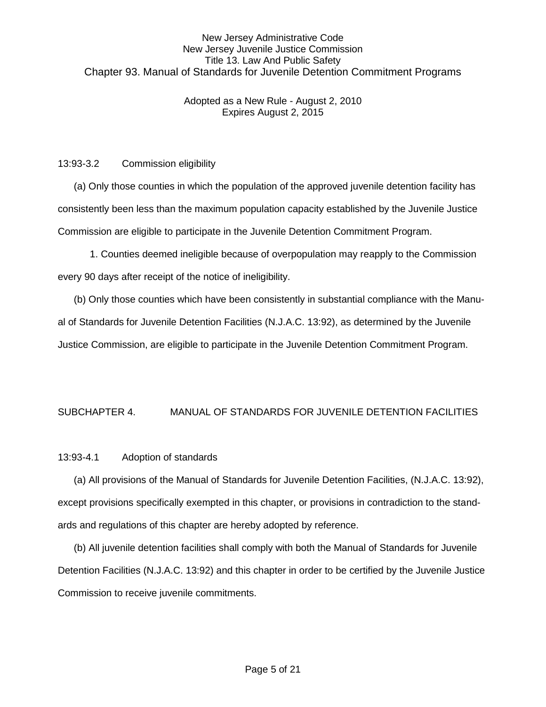### Adopted as a New Rule - August 2, 2010 Expires August 2, 2015

### 13:93-3.2 Commission eligibility

(a) Only those counties in which the population of the approved juvenile detention facility has consistently been less than the maximum population capacity established by the Juvenile Justice Commission are eligible to participate in the Juvenile Detention Commitment Program.

1. Counties deemed ineligible because of overpopulation may reapply to the Commission every 90 days after receipt of the notice of ineligibility.

(b) Only those counties which have been consistently in substantial compliance with the Manual of Standards for Juvenile Detention Facilities (N.J.A.C. 13:92), as determined by the Juvenile Justice Commission, are eligible to participate in the Juvenile Detention Commitment Program.

# SUBCHAPTER 4. MANUAL OF STANDARDS FOR JUVENILE DETENTION FACILITIES

### 13:93-4.1 Adoption of standards

(a) All provisions of the Manual of Standards for Juvenile Detention Facilities, (N.J.A.C. 13:92), except provisions specifically exempted in this chapter, or provisions in contradiction to the standards and regulations of this chapter are hereby adopted by reference.

(b) All juvenile detention facilities shall comply with both the Manual of Standards for Juvenile Detention Facilities (N.J.A.C. 13:92) and this chapter in order to be certified by the Juvenile Justice Commission to receive juvenile commitments.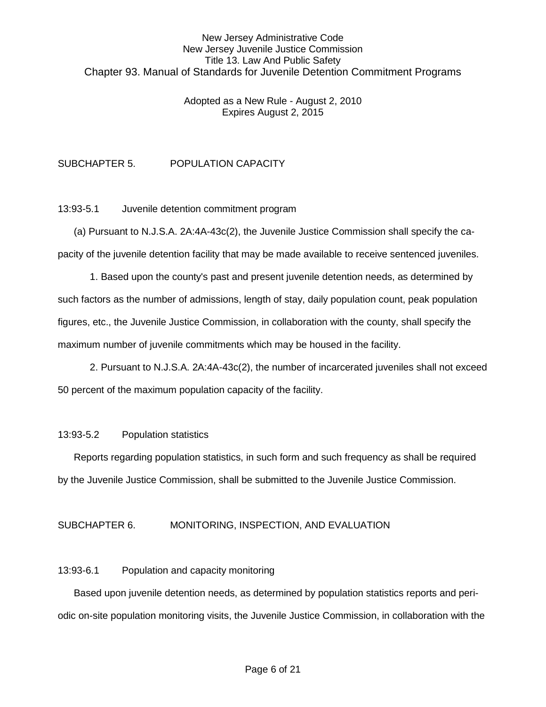#### Adopted as a New Rule - August 2, 2010 Expires August 2, 2015

# SUBCHAPTER 5. POPULATION CAPACITY

13:93-5.1 Juvenile detention commitment program

(a) Pursuant to N.J.S.A. 2A:4A-43c(2), the Juvenile Justice Commission shall specify the capacity of the juvenile detention facility that may be made available to receive sentenced juveniles.

1. Based upon the county's past and present juvenile detention needs, as determined by such factors as the number of admissions, length of stay, daily population count, peak population figures, etc., the Juvenile Justice Commission, in collaboration with the county, shall specify the maximum number of juvenile commitments which may be housed in the facility.

2. Pursuant to N.J.S.A. 2A:4A-43c(2), the number of incarcerated juveniles shall not exceed 50 percent of the maximum population capacity of the facility.

#### 13:93-5.2 Population statistics

Reports regarding population statistics, in such form and such frequency as shall be required by the Juvenile Justice Commission, shall be submitted to the Juvenile Justice Commission.

#### SUBCHAPTER 6. MONITORING, INSPECTION, AND EVALUATION

#### 13:93-6.1 Population and capacity monitoring

Based upon juvenile detention needs, as determined by population statistics reports and periodic on-site population monitoring visits, the Juvenile Justice Commission, in collaboration with the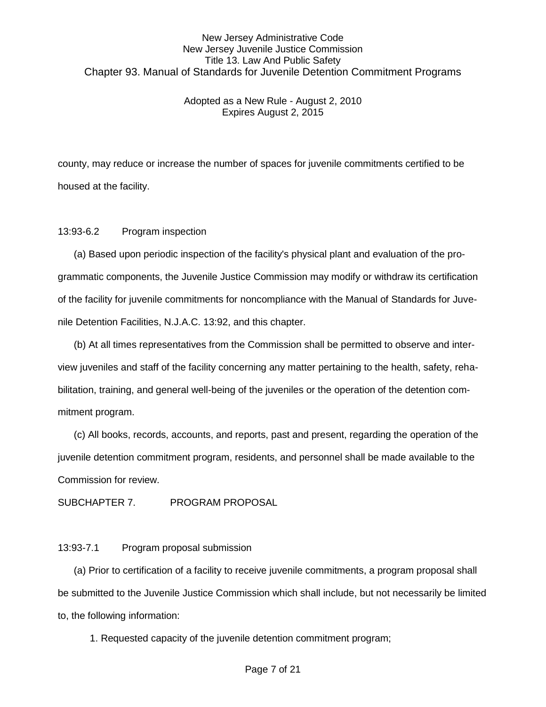#### Adopted as a New Rule - August 2, 2010 Expires August 2, 2015

county, may reduce or increase the number of spaces for juvenile commitments certified to be housed at the facility.

#### 13:93-6.2 Program inspection

(a) Based upon periodic inspection of the facility's physical plant and evaluation of the programmatic components, the Juvenile Justice Commission may modify or withdraw its certification of the facility for juvenile commitments for noncompliance with the Manual of Standards for Juvenile Detention Facilities, N.J.A.C. 13:92, and this chapter.

(b) At all times representatives from the Commission shall be permitted to observe and interview juveniles and staff of the facility concerning any matter pertaining to the health, safety, rehabilitation, training, and general well-being of the juveniles or the operation of the detention commitment program.

(c) All books, records, accounts, and reports, past and present, regarding the operation of the juvenile detention commitment program, residents, and personnel shall be made available to the Commission for review.

SUBCHAPTER 7. PROGRAM PROPOSAL

#### 13:93-7.1 Program proposal submission

(a) Prior to certification of a facility to receive juvenile commitments, a program proposal shall be submitted to the Juvenile Justice Commission which shall include, but not necessarily be limited to, the following information:

1. Requested capacity of the juvenile detention commitment program;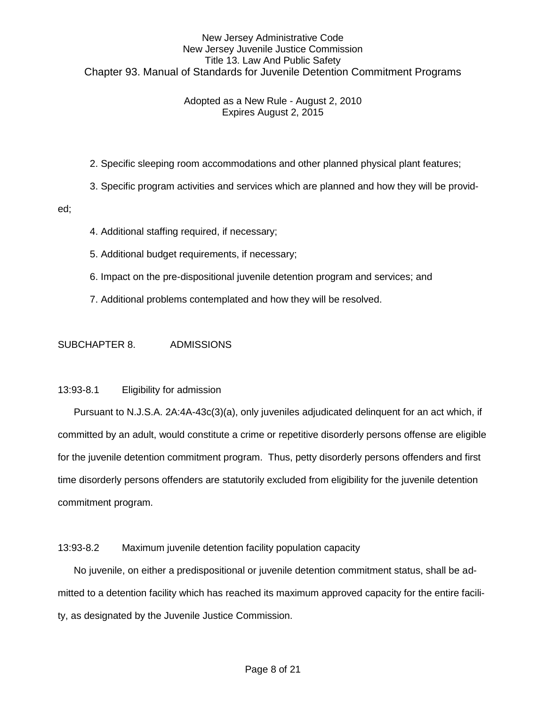### Adopted as a New Rule - August 2, 2010 Expires August 2, 2015

2. Specific sleeping room accommodations and other planned physical plant features;

3. Specific program activities and services which are planned and how they will be provid-

#### ed;

- 4. Additional staffing required, if necessary;
- 5. Additional budget requirements, if necessary;
- 6. Impact on the pre-dispositional juvenile detention program and services; and
- 7. Additional problems contemplated and how they will be resolved.

#### SUBCHAPTER 8. ADMISSIONS

#### 13:93-8.1 Eligibility for admission

Pursuant to N.J.S.A. 2A:4A-43c(3)(a), only juveniles adjudicated delinquent for an act which, if committed by an adult, would constitute a crime or repetitive disorderly persons offense are eligible for the juvenile detention commitment program. Thus, petty disorderly persons offenders and first time disorderly persons offenders are statutorily excluded from eligibility for the juvenile detention commitment program.

#### 13:93-8.2 Maximum juvenile detention facility population capacity

No juvenile, on either a predispositional or juvenile detention commitment status, shall be admitted to a detention facility which has reached its maximum approved capacity for the entire facility, as designated by the Juvenile Justice Commission.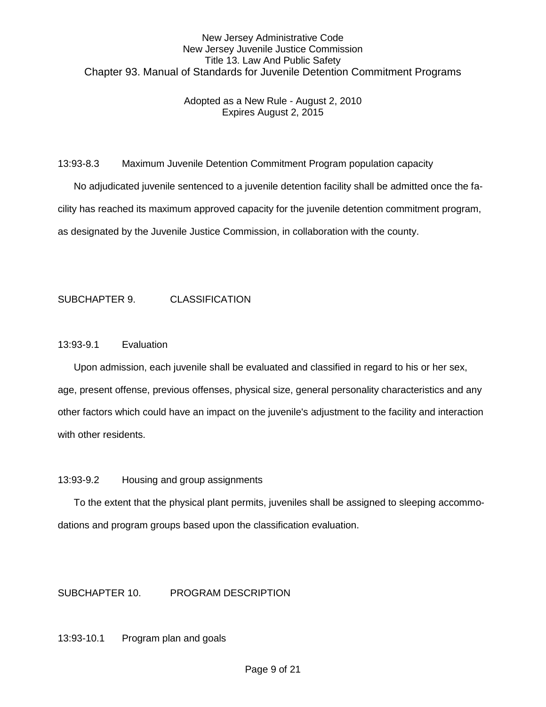### Adopted as a New Rule - August 2, 2010 Expires August 2, 2015

13:93-8.3 Maximum Juvenile Detention Commitment Program population capacity

No adjudicated juvenile sentenced to a juvenile detention facility shall be admitted once the facility has reached its maximum approved capacity for the juvenile detention commitment program, as designated by the Juvenile Justice Commission, in collaboration with the county.

## SUBCHAPTER 9. CLASSIFICATION

#### 13:93-9.1 Evaluation

Upon admission, each juvenile shall be evaluated and classified in regard to his or her sex, age, present offense, previous offenses, physical size, general personality characteristics and any other factors which could have an impact on the juvenile's adjustment to the facility and interaction with other residents.

#### 13:93-9.2 Housing and group assignments

To the extent that the physical plant permits, juveniles shall be assigned to sleeping accommodations and program groups based upon the classification evaluation.

### SUBCHAPTER 10. PROGRAM DESCRIPTION

13:93-10.1 Program plan and goals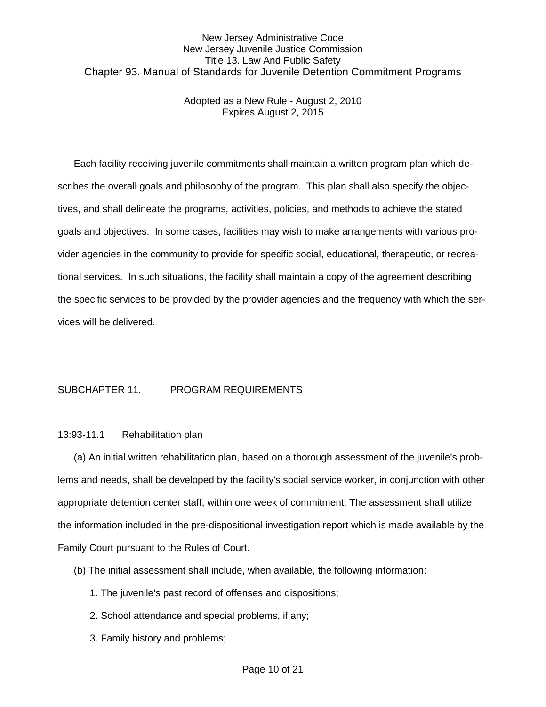Adopted as a New Rule - August 2, 2010 Expires August 2, 2015

Each facility receiving juvenile commitments shall maintain a written program plan which describes the overall goals and philosophy of the program. This plan shall also specify the objectives, and shall delineate the programs, activities, policies, and methods to achieve the stated goals and objectives. In some cases, facilities may wish to make arrangements with various provider agencies in the community to provide for specific social, educational, therapeutic, or recreational services. In such situations, the facility shall maintain a copy of the agreement describing the specific services to be provided by the provider agencies and the frequency with which the services will be delivered.

### SUBCHAPTER 11. PROGRAM REQUIREMENTS

#### 13:93-11.1 Rehabilitation plan

(a) An initial written rehabilitation plan, based on a thorough assessment of the juvenile's problems and needs, shall be developed by the facility's social service worker, in conjunction with other appropriate detention center staff, within one week of commitment. The assessment shall utilize the information included in the pre-dispositional investigation report which is made available by the Family Court pursuant to the Rules of Court.

- (b) The initial assessment shall include, when available, the following information:
	- 1. The juvenile's past record of offenses and dispositions;
	- 2. School attendance and special problems, if any;
	- 3. Family history and problems;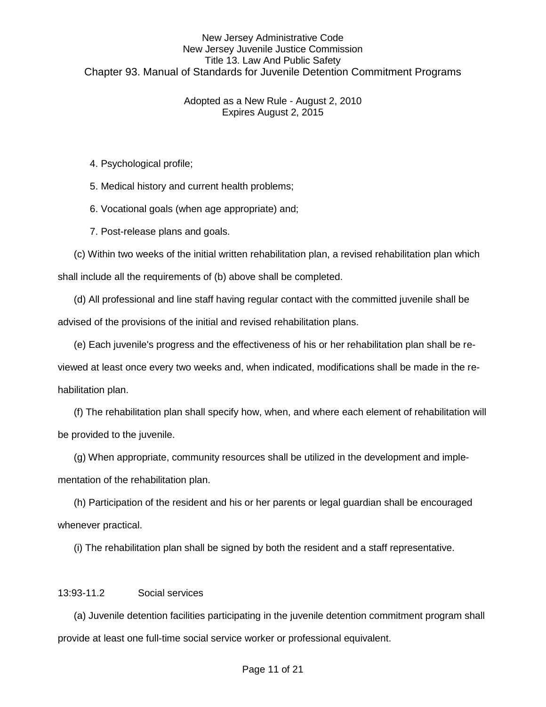### Adopted as a New Rule - August 2, 2010 Expires August 2, 2015

4. Psychological profile;

5. Medical history and current health problems;

6. Vocational goals (when age appropriate) and;

7. Post-release plans and goals.

 (c) Within two weeks of the initial written rehabilitation plan, a revised rehabilitation plan which shall include all the requirements of (b) above shall be completed.

 (d) All professional and line staff having regular contact with the committed juvenile shall be advised of the provisions of the initial and revised rehabilitation plans.

(e) Each juvenile's progress and the effectiveness of his or her rehabilitation plan shall be re-

viewed at least once every two weeks and, when indicated, modifications shall be made in the rehabilitation plan.

(f) The rehabilitation plan shall specify how, when, and where each element of rehabilitation will be provided to the juvenile.

(g) When appropriate, community resources shall be utilized in the development and implementation of the rehabilitation plan.

 (h) Participation of the resident and his or her parents or legal guardian shall be encouraged whenever practical.

(i) The rehabilitation plan shall be signed by both the resident and a staff representative.

#### 13:93-11.2 Social services

(a) Juvenile detention facilities participating in the juvenile detention commitment program shall provide at least one full-time social service worker or professional equivalent.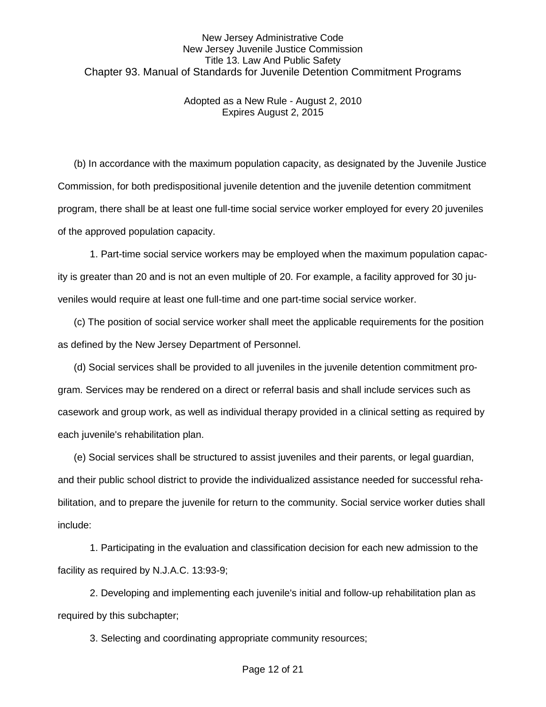Adopted as a New Rule - August 2, 2010 Expires August 2, 2015

(b) In accordance with the maximum population capacity, as designated by the Juvenile Justice Commission, for both predispositional juvenile detention and the juvenile detention commitment program, there shall be at least one full-time social service worker employed for every 20 juveniles of the approved population capacity.

1. Part-time social service workers may be employed when the maximum population capacity is greater than 20 and is not an even multiple of 20. For example, a facility approved for 30 juveniles would require at least one full-time and one part-time social service worker.

(c) The position of social service worker shall meet the applicable requirements for the position as defined by the New Jersey Department of Personnel.

 (d) Social services shall be provided to all juveniles in the juvenile detention commitment program. Services may be rendered on a direct or referral basis and shall include services such as casework and group work, as well as individual therapy provided in a clinical setting as required by each juvenile's rehabilitation plan.

(e) Social services shall be structured to assist juveniles and their parents, or legal guardian, and their public school district to provide the individualized assistance needed for successful rehabilitation, and to prepare the juvenile for return to the community. Social service worker duties shall include:

 1. Participating in the evaluation and classification decision for each new admission to the facility as required by N.J.A.C. 13:93-9;

2. Developing and implementing each juvenile's initial and follow-up rehabilitation plan as required by this subchapter;

3. Selecting and coordinating appropriate community resources;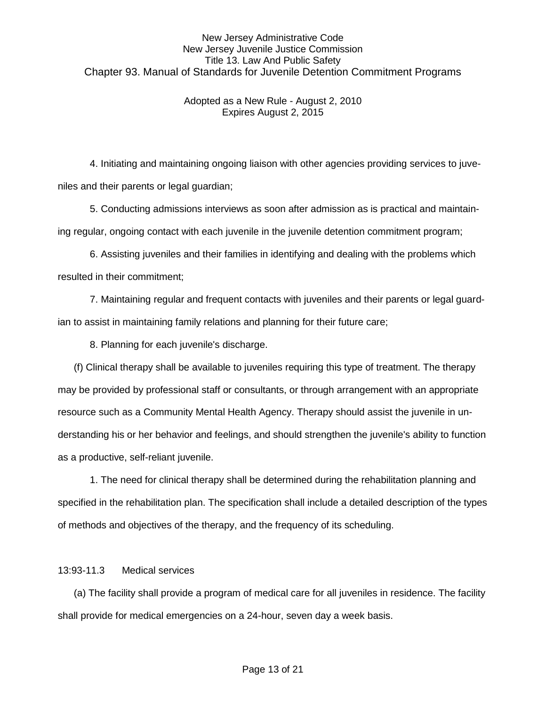### Adopted as a New Rule - August 2, 2010 Expires August 2, 2015

 4. Initiating and maintaining ongoing liaison with other agencies providing services to juveniles and their parents or legal guardian;

 5. Conducting admissions interviews as soon after admission as is practical and maintaining regular, ongoing contact with each juvenile in the juvenile detention commitment program;

 6. Assisting juveniles and their families in identifying and dealing with the problems which resulted in their commitment;

 7. Maintaining regular and frequent contacts with juveniles and their parents or legal guardian to assist in maintaining family relations and planning for their future care;

8. Planning for each juvenile's discharge.

(f) Clinical therapy shall be available to juveniles requiring this type of treatment. The therapy may be provided by professional staff or consultants, or through arrangement with an appropriate resource such as a Community Mental Health Agency. Therapy should assist the juvenile in understanding his or her behavior and feelings, and should strengthen the juvenile's ability to function as a productive, self-reliant juvenile.

1. The need for clinical therapy shall be determined during the rehabilitation planning and specified in the rehabilitation plan. The specification shall include a detailed description of the types of methods and objectives of the therapy, and the frequency of its scheduling.

### 13:93-11.3 Medical services

(a) The facility shall provide a program of medical care for all juveniles in residence. The facility shall provide for medical emergencies on a 24-hour, seven day a week basis.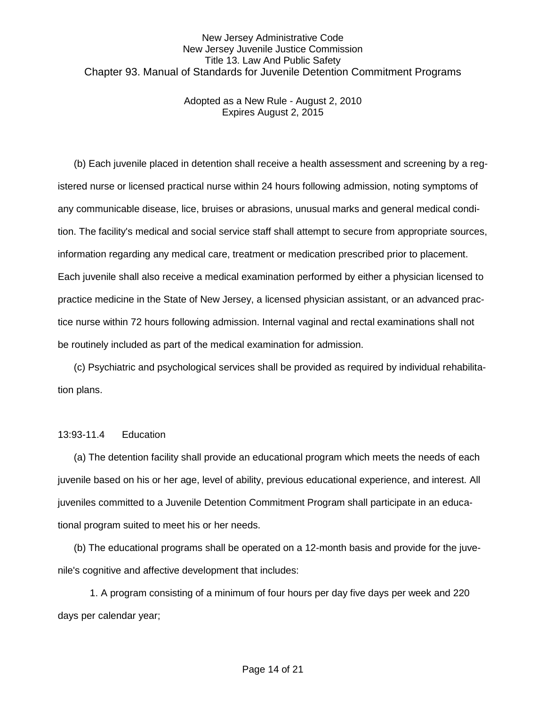Adopted as a New Rule - August 2, 2010 Expires August 2, 2015

(b) Each juvenile placed in detention shall receive a health assessment and screening by a registered nurse or licensed practical nurse within 24 hours following admission, noting symptoms of any communicable disease, lice, bruises or abrasions, unusual marks and general medical condition. The facility's medical and social service staff shall attempt to secure from appropriate sources, information regarding any medical care, treatment or medication prescribed prior to placement. Each juvenile shall also receive a medical examination performed by either a physician licensed to practice medicine in the State of New Jersey, a licensed physician assistant, or an advanced practice nurse within 72 hours following admission. Internal vaginal and rectal examinations shall not be routinely included as part of the medical examination for admission.

(c) Psychiatric and psychological services shall be provided as required by individual rehabilitation plans.

#### 13:93-11.4 Education

(a) The detention facility shall provide an educational program which meets the needs of each juvenile based on his or her age, level of ability, previous educational experience, and interest. All juveniles committed to a Juvenile Detention Commitment Program shall participate in an educational program suited to meet his or her needs.

(b) The educational programs shall be operated on a 12-month basis and provide for the juvenile's cognitive and affective development that includes:

1. A program consisting of a minimum of four hours per day five days per week and 220 days per calendar year;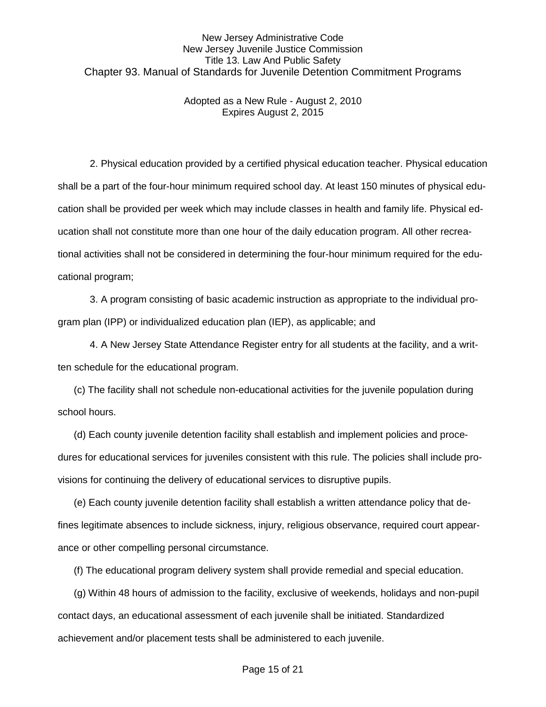Adopted as a New Rule - August 2, 2010 Expires August 2, 2015

2. Physical education provided by a certified physical education teacher. Physical education shall be a part of the four-hour minimum required school day. At least 150 minutes of physical education shall be provided per week which may include classes in health and family life. Physical education shall not constitute more than one hour of the daily education program. All other recreational activities shall not be considered in determining the four-hour minimum required for the educational program;

3. A program consisting of basic academic instruction as appropriate to the individual program plan (IPP) or individualized education plan (IEP), as applicable; and

4. A New Jersey State Attendance Register entry for all students at the facility, and a written schedule for the educational program.

(c) The facility shall not schedule non-educational activities for the juvenile population during school hours.

(d) Each county juvenile detention facility shall establish and implement policies and procedures for educational services for juveniles consistent with this rule. The policies shall include provisions for continuing the delivery of educational services to disruptive pupils.

(e) Each county juvenile detention facility shall establish a written attendance policy that defines legitimate absences to include sickness, injury, religious observance, required court appearance or other compelling personal circumstance.

(f) The educational program delivery system shall provide remedial and special education.

(g) Within 48 hours of admission to the facility, exclusive of weekends, holidays and non-pupil contact days, an educational assessment of each juvenile shall be initiated. Standardized achievement and/or placement tests shall be administered to each juvenile.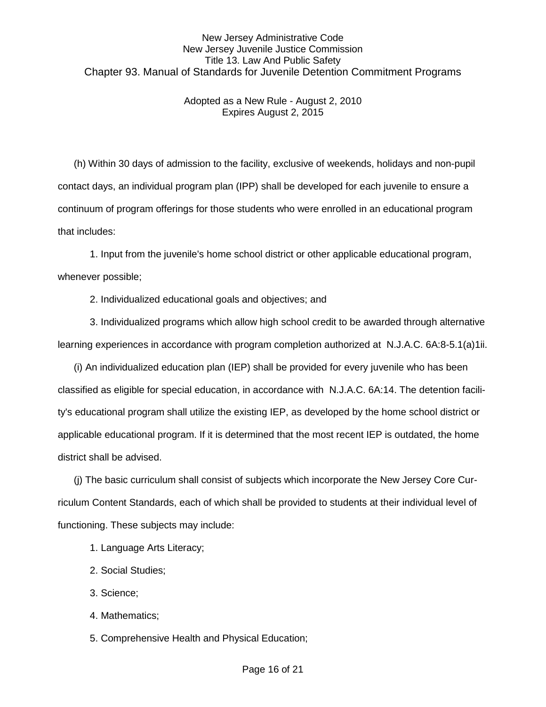### Adopted as a New Rule - August 2, 2010 Expires August 2, 2015

(h) Within 30 days of admission to the facility, exclusive of weekends, holidays and non-pupil contact days, an individual program plan (IPP) shall be developed for each juvenile to ensure a continuum of program offerings for those students who were enrolled in an educational program that includes:

1. Input from the juvenile's home school district or other applicable educational program, whenever possible;

2. Individualized educational goals and objectives; and

3. Individualized programs which allow high school credit to be awarded through alternative learning experiences in accordance with program completion authorized at N.J.A.C. 6A:8-5.1(a)1ii.

(i) An individualized education plan (IEP) shall be provided for every juvenile who has been classified as eligible for special education, in accordance with N.J.A.C. 6A:14. The detention facility's educational program shall utilize the existing IEP, as developed by the home school district or applicable educational program. If it is determined that the most recent IEP is outdated, the home district shall be advised.

(j) The basic curriculum shall consist of subjects which incorporate the New Jersey Core Curriculum Content Standards, each of which shall be provided to students at their individual level of functioning. These subjects may include:

- 1. Language Arts Literacy;
- 2. Social Studies;
- 3. Science;
- 4. Mathematics;
- 5. Comprehensive Health and Physical Education;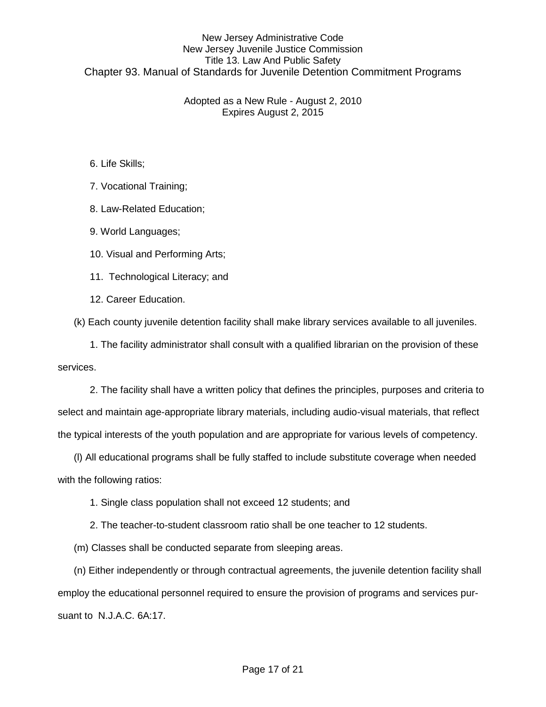Adopted as a New Rule - August 2, 2010 Expires August 2, 2015

6. Life Skills;

7. Vocational Training;

8. Law-Related Education;

9. World Languages;

10. Visual and Performing Arts;

11. Technological Literacy; and

12. Career Education.

(k) Each county juvenile detention facility shall make library services available to all juveniles.

1. The facility administrator shall consult with a qualified librarian on the provision of these services.

2. The facility shall have a written policy that defines the principles, purposes and criteria to select and maintain age-appropriate library materials, including audio-visual materials, that reflect the typical interests of the youth population and are appropriate for various levels of competency.

(l) All educational programs shall be fully staffed to include substitute coverage when needed with the following ratios:

1. Single class population shall not exceed 12 students; and

2. The teacher-to-student classroom ratio shall be one teacher to 12 students.

(m) Classes shall be conducted separate from sleeping areas.

(n) Either independently or through contractual agreements, the juvenile detention facility shall employ the educational personnel required to ensure the provision of programs and services pursuant to N.J.A.C. 6A:17.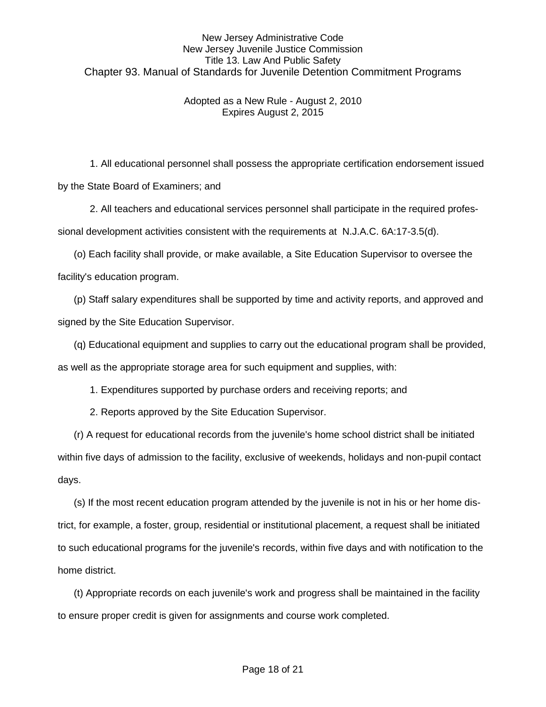### Adopted as a New Rule - August 2, 2010 Expires August 2, 2015

1. All educational personnel shall possess the appropriate certification endorsement issued by the State Board of Examiners; and

2. All teachers and educational services personnel shall participate in the required professional development activities consistent with the requirements at N.J.A.C. 6A:17-3.5(d).

(o) Each facility shall provide, or make available, a Site Education Supervisor to oversee the facility's education program.

(p) Staff salary expenditures shall be supported by time and activity reports, and approved and signed by the Site Education Supervisor.

(q) Educational equipment and supplies to carry out the educational program shall be provided,

as well as the appropriate storage area for such equipment and supplies, with:

1. Expenditures supported by purchase orders and receiving reports; and

2. Reports approved by the Site Education Supervisor.

(r) A request for educational records from the juvenile's home school district shall be initiated within five days of admission to the facility, exclusive of weekends, holidays and non-pupil contact days.

(s) If the most recent education program attended by the juvenile is not in his or her home district, for example, a foster, group, residential or institutional placement, a request shall be initiated to such educational programs for the juvenile's records, within five days and with notification to the home district.

(t) Appropriate records on each juvenile's work and progress shall be maintained in the facility to ensure proper credit is given for assignments and course work completed.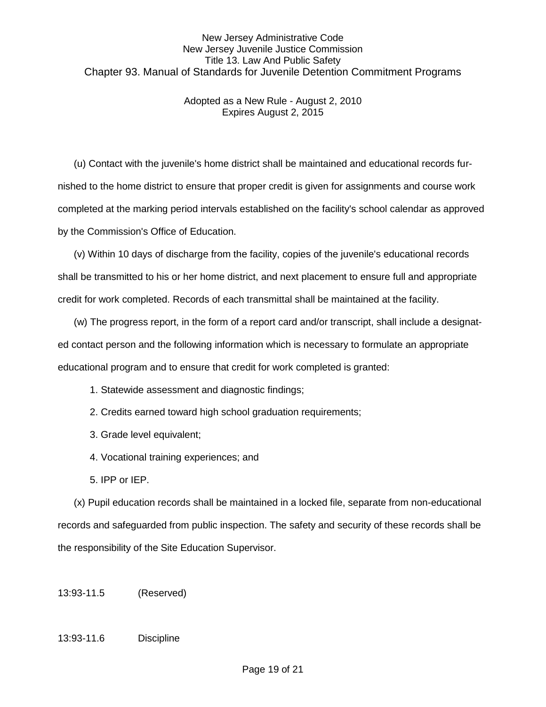Adopted as a New Rule - August 2, 2010 Expires August 2, 2015

(u) Contact with the juvenile's home district shall be maintained and educational records furnished to the home district to ensure that proper credit is given for assignments and course work completed at the marking period intervals established on the facility's school calendar as approved by the Commission's Office of Education.

(v) Within 10 days of discharge from the facility, copies of the juvenile's educational records shall be transmitted to his or her home district, and next placement to ensure full and appropriate credit for work completed. Records of each transmittal shall be maintained at the facility.

(w) The progress report, in the form of a report card and/or transcript, shall include a designated contact person and the following information which is necessary to formulate an appropriate educational program and to ensure that credit for work completed is granted:

- 1. Statewide assessment and diagnostic findings;
- 2. Credits earned toward high school graduation requirements;
- 3. Grade level equivalent;
- 4. Vocational training experiences; and
- 5. IPP or IEP.

(x) Pupil education records shall be maintained in a locked file, separate from non-educational records and safeguarded from public inspection. The safety and security of these records shall be the responsibility of the Site Education Supervisor.

13:93-11.5 (Reserved)

### 13:93-11.6 Discipline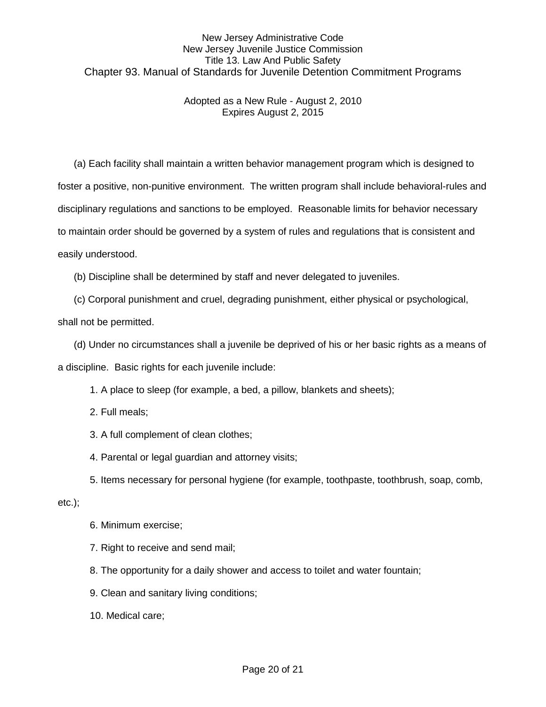### Adopted as a New Rule - August 2, 2010 Expires August 2, 2015

(a) Each facility shall maintain a written behavior management program which is designed to foster a positive, non-punitive environment. The written program shall include behavioral-rules and disciplinary regulations and sanctions to be employed. Reasonable limits for behavior necessary to maintain order should be governed by a system of rules and regulations that is consistent and easily understood.

(b) Discipline shall be determined by staff and never delegated to juveniles.

(c) Corporal punishment and cruel, degrading punishment, either physical or psychological,

shall not be permitted.

(d) Under no circumstances shall a juvenile be deprived of his or her basic rights as a means of

a discipline. Basic rights for each juvenile include:

1. A place to sleep (for example, a bed, a pillow, blankets and sheets);

- 2. Full meals;
- 3. A full complement of clean clothes;
- 4. Parental or legal guardian and attorney visits;

5. Items necessary for personal hygiene (for example, toothpaste, toothbrush, soap, comb,

#### etc.);

- 6. Minimum exercise;
- 7. Right to receive and send mail;
- 8. The opportunity for a daily shower and access to toilet and water fountain;
- 9. Clean and sanitary living conditions;
- 10. Medical care;